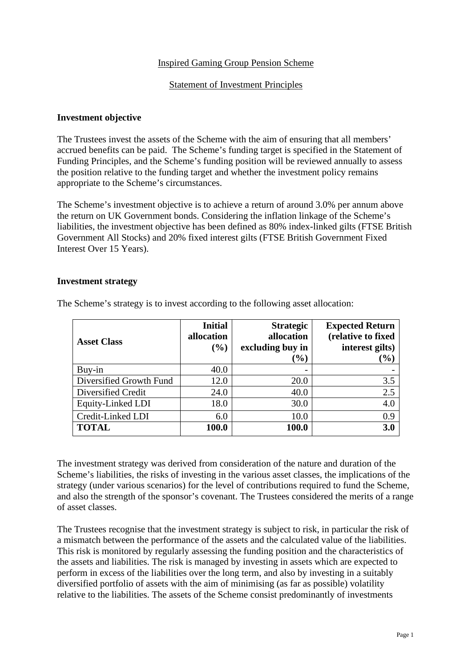## Inspired Gaming Group Pension Scheme

#### Statement of Investment Principles

### **Investment objective**

The Trustees invest the assets of the Scheme with the aim of ensuring that all members' accrued benefits can be paid. The Scheme's funding target is specified in the Statement of Funding Principles, and the Scheme's funding position will be reviewed annually to assess the position relative to the funding target and whether the investment policy remains appropriate to the Scheme's circumstances.

The Scheme's investment objective is to achieve a return of around 3.0% per annum above the return on UK Government bonds. Considering the inflation linkage of the Scheme's liabilities, the investment objective has been defined as 80% index-linked gilts (FTSE British Government All Stocks) and 20% fixed interest gilts (FTSE British Government Fixed Interest Over 15 Years).

#### **Investment strategy**

| <b>Asset Class</b>      | <b>Initial</b><br>allocation<br>(%) | <b>Strategic</b><br>allocation<br>excluding buy in<br>$(\%)$ | <b>Expected Return</b><br>(relative to fixed<br>interest gilts)<br>$(\%)$ |
|-------------------------|-------------------------------------|--------------------------------------------------------------|---------------------------------------------------------------------------|
| Buy-in                  | 40.0                                |                                                              |                                                                           |
| Diversified Growth Fund | 12.0                                | 20.0                                                         | 3.5                                                                       |
| Diversified Credit      | 24.0                                | 40.0                                                         | 2.5                                                                       |
| Equity-Linked LDI       | 18.0                                | 30.0                                                         | 4.0                                                                       |
| Credit-Linked LDI       | 6.0                                 | 10.0                                                         | 0.9                                                                       |
| <b>TOTAL</b>            | 100.0                               | 100.0                                                        | 3.0                                                                       |

The Scheme's strategy is to invest according to the following asset allocation:

The investment strategy was derived from consideration of the nature and duration of the Scheme's liabilities, the risks of investing in the various asset classes, the implications of the strategy (under various scenarios) for the level of contributions required to fund the Scheme, and also the strength of the sponsor's covenant. The Trustees considered the merits of a range of asset classes.

The Trustees recognise that the investment strategy is subject to risk, in particular the risk of a mismatch between the performance of the assets and the calculated value of the liabilities. This risk is monitored by regularly assessing the funding position and the characteristics of the assets and liabilities. The risk is managed by investing in assets which are expected to perform in excess of the liabilities over the long term, and also by investing in a suitably diversified portfolio of assets with the aim of minimising (as far as possible) volatility relative to the liabilities. The assets of the Scheme consist predominantly of investments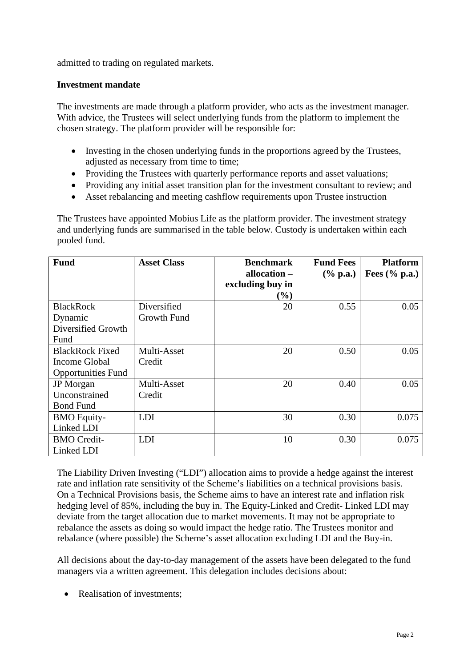admitted to trading on regulated markets.

## **Investment mandate**

The investments are made through a platform provider, who acts as the investment manager. With advice, the Trustees will select underlying funds from the platform to implement the chosen strategy. The platform provider will be responsible for:

- Investing in the chosen underlying funds in the proportions agreed by the Trustees, adjusted as necessary from time to time;
- Providing the Trustees with quarterly performance reports and asset valuations;
- Providing any initial asset transition plan for the investment consultant to review; and
- Asset rebalancing and meeting cashflow requirements upon Trustee instruction

The Trustees have appointed Mobius Life as the platform provider. The investment strategy and underlying funds are summarised in the table below. Custody is undertaken within each pooled fund.

| <b>Fund</b>               | <b>Asset Class</b> | <b>Benchmark</b> | <b>Fund Fees</b> | <b>Platform</b>  |
|---------------------------|--------------------|------------------|------------------|------------------|
|                           |                    | allocation -     | $(\%$ p.a.)      | Fees $(\%$ p.a.) |
|                           |                    | excluding buy in |                  |                  |
|                           |                    | $(\%)$           |                  |                  |
| <b>BlackRock</b>          | Diversified        | 20               | 0.55             | 0.05             |
| Dynamic                   | Growth Fund        |                  |                  |                  |
| Diversified Growth        |                    |                  |                  |                  |
| Fund                      |                    |                  |                  |                  |
| <b>BlackRock Fixed</b>    | Multi-Asset        | 20               | 0.50             | 0.05             |
| Income Global             | Credit             |                  |                  |                  |
| <b>Opportunities Fund</b> |                    |                  |                  |                  |
| <b>JP</b> Morgan          | Multi-Asset        | 20               | 0.40             | 0.05             |
| Unconstrained             | Credit             |                  |                  |                  |
| <b>Bond Fund</b>          |                    |                  |                  |                  |
| <b>BMO</b> Equity-        | <b>LDI</b>         | 30               | 0.30             | 0.075            |
| Linked LDI                |                    |                  |                  |                  |
| <b>BMO</b> Credit-        | <b>LDI</b>         | 10               | 0.30             | 0.075            |
| Linked LDI                |                    |                  |                  |                  |

The Liability Driven Investing ("LDI") allocation aims to provide a hedge against the interest rate and inflation rate sensitivity of the Scheme's liabilities on a technical provisions basis. On a Technical Provisions basis, the Scheme aims to have an interest rate and inflation risk hedging level of 85%, including the buy in. The Equity-Linked and Credit- Linked LDI may deviate from the target allocation due to market movements. It may not be appropriate to rebalance the assets as doing so would impact the hedge ratio. The Trustees monitor and rebalance (where possible) the Scheme's asset allocation excluding LDI and the Buy-in.

All decisions about the day-to-day management of the assets have been delegated to the fund managers via a written agreement. This delegation includes decisions about:

• Realisation of investments: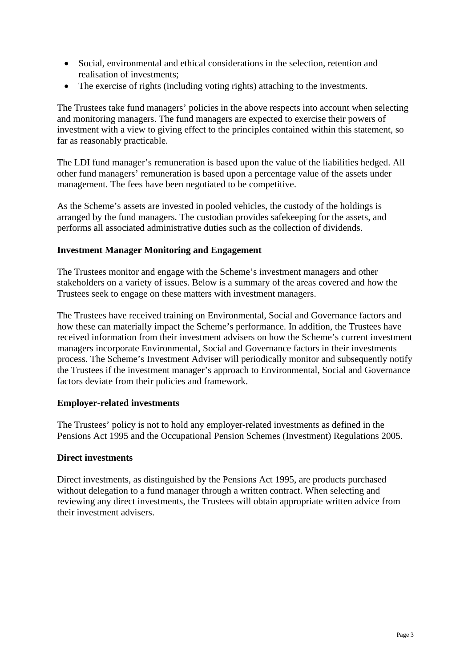- Social, environmental and ethical considerations in the selection, retention and realisation of investments;
- The exercise of rights (including voting rights) attaching to the investments.

The Trustees take fund managers' policies in the above respects into account when selecting and monitoring managers. The fund managers are expected to exercise their powers of investment with a view to giving effect to the principles contained within this statement, so far as reasonably practicable.

The LDI fund manager's remuneration is based upon the value of the liabilities hedged. All other fund managers' remuneration is based upon a percentage value of the assets under management. The fees have been negotiated to be competitive.

As the Scheme's assets are invested in pooled vehicles, the custody of the holdings is arranged by the fund managers. The custodian provides safekeeping for the assets, and performs all associated administrative duties such as the collection of dividends.

### **Investment Manager Monitoring and Engagement**

The Trustees monitor and engage with the Scheme's investment managers and other stakeholders on a variety of issues. Below is a summary of the areas covered and how the Trustees seek to engage on these matters with investment managers.

The Trustees have received training on Environmental, Social and Governance factors and how these can materially impact the Scheme's performance. In addition, the Trustees have received information from their investment advisers on how the Scheme's current investment managers incorporate Environmental, Social and Governance factors in their investments process. The Scheme's Investment Adviser will periodically monitor and subsequently notify the Trustees if the investment manager's approach to Environmental, Social and Governance factors deviate from their policies and framework.

### **Employer-related investments**

The Trustees' policy is not to hold any employer-related investments as defined in the Pensions Act 1995 and the Occupational Pension Schemes (Investment) Regulations 2005.

### **Direct investments**

Direct investments, as distinguished by the Pensions Act 1995, are products purchased without delegation to a fund manager through a written contract. When selecting and reviewing any direct investments, the Trustees will obtain appropriate written advice from their investment advisers.